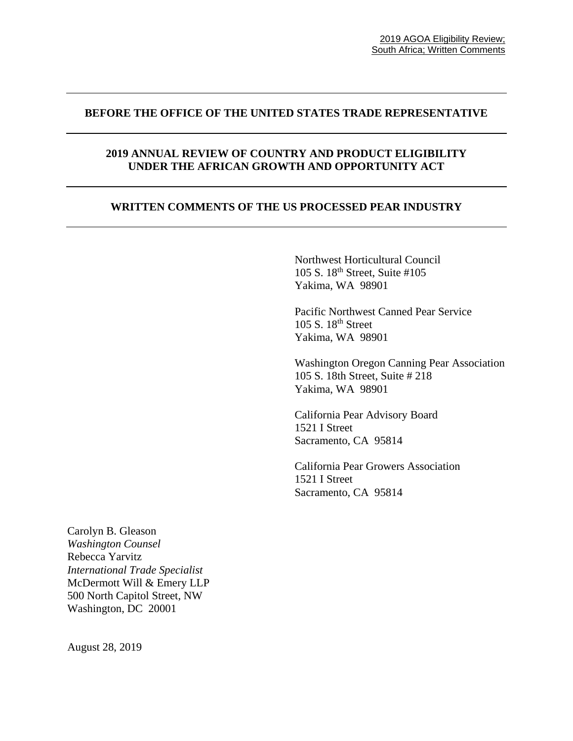#### **BEFORE THE OFFICE OF THE UNITED STATES TRADE REPRESENTATIVE**

#### **2019 ANNUAL REVIEW OF COUNTRY AND PRODUCT ELIGIBILITY UNDER THE AFRICAN GROWTH AND OPPORTUNITY ACT**

#### **WRITTEN COMMENTS OF THE US PROCESSED PEAR INDUSTRY**

Northwest Horticultural Council 105 S. 18th Street, Suite #105 Yakima, WA 98901

Pacific Northwest Canned Pear Service 105 S. 18th Street Yakima, WA 98901

 Washington Oregon Canning Pear Association 105 S. 18th Street, Suite # 218 Yakima, WA 98901

 California Pear Advisory Board 1521 I Street Sacramento, CA 95814

 California Pear Growers Association 1521 I Street Sacramento, CA 95814

Carolyn B. Gleason *Washington Counsel* Rebecca Yarvitz *International Trade Specialist* McDermott Will & Emery LLP 500 North Capitol Street, NW Washington, DC 20001

August 28, 2019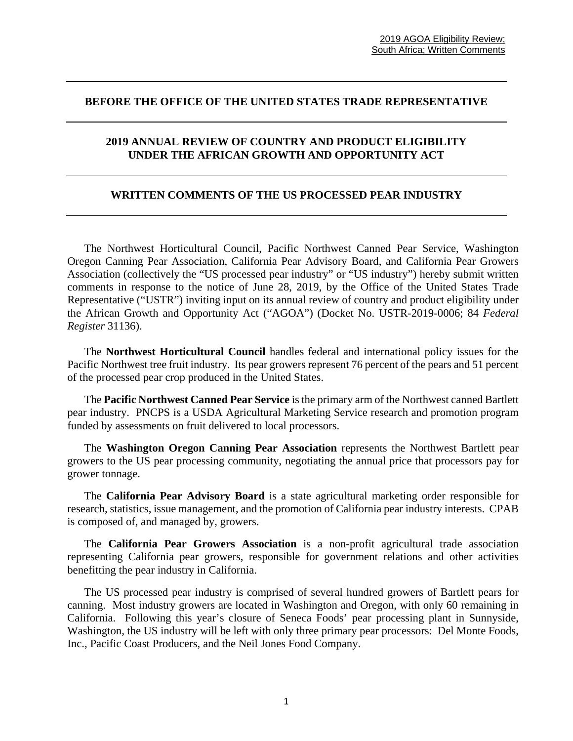#### **BEFORE THE OFFICE OF THE UNITED STATES TRADE REPRESENTATIVE**

## **2019 ANNUAL REVIEW OF COUNTRY AND PRODUCT ELIGIBILITY UNDER THE AFRICAN GROWTH AND OPPORTUNITY ACT**

#### **WRITTEN COMMENTS OF THE US PROCESSED PEAR INDUSTRY**

The Northwest Horticultural Council, Pacific Northwest Canned Pear Service, Washington Oregon Canning Pear Association, California Pear Advisory Board, and California Pear Growers Association (collectively the "US processed pear industry" or "US industry") hereby submit written comments in response to the notice of June 28, 2019, by the Office of the United States Trade Representative ("USTR") inviting input on its annual review of country and product eligibility under the African Growth and Opportunity Act ("AGOA") (Docket No. USTR-2019-0006; 84 *Federal Register* 31136).

The **Northwest Horticultural Council** handles federal and international policy issues for the Pacific Northwest tree fruit industry. Its pear growers represent 76 percent of the pears and 51 percent of the processed pear crop produced in the United States.

The **Pacific Northwest Canned Pear Service** is the primary arm of the Northwest canned Bartlett pear industry. PNCPS is a USDA Agricultural Marketing Service research and promotion program funded by assessments on fruit delivered to local processors.

The **Washington Oregon Canning Pear Association** represents the Northwest Bartlett pear growers to the US pear processing community, negotiating the annual price that processors pay for grower tonnage.

The **California Pear Advisory Board** is a state agricultural marketing order responsible for research, statistics, issue management, and the promotion of California pear industry interests. CPAB is composed of, and managed by, growers.

The **California Pear Growers Association** is a non-profit agricultural trade association representing California pear growers, responsible for government relations and other activities benefitting the pear industry in California.

The US processed pear industry is comprised of several hundred growers of Bartlett pears for canning. Most industry growers are located in Washington and Oregon, with only 60 remaining in California. Following this year's closure of Seneca Foods' pear processing plant in Sunnyside, Washington, the US industry will be left with only three primary pear processors: Del Monte Foods, Inc., Pacific Coast Producers, and the Neil Jones Food Company.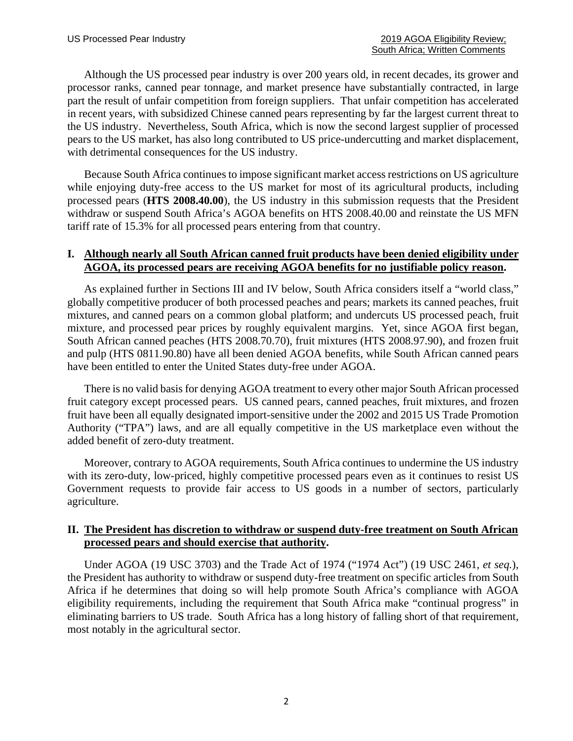Although the US processed pear industry is over 200 years old, in recent decades, its grower and processor ranks, canned pear tonnage, and market presence have substantially contracted, in large part the result of unfair competition from foreign suppliers. That unfair competition has accelerated in recent years, with subsidized Chinese canned pears representing by far the largest current threat to the US industry. Nevertheless, South Africa, which is now the second largest supplier of processed pears to the US market, has also long contributed to US price-undercutting and market displacement, with detrimental consequences for the US industry.

Because South Africa continues to impose significant market access restrictions on US agriculture while enjoying duty-free access to the US market for most of its agricultural products, including processed pears (**HTS 2008.40.00**), the US industry in this submission requests that the President withdraw or suspend South Africa's AGOA benefits on HTS 2008.40.00 and reinstate the US MFN tariff rate of 15.3% for all processed pears entering from that country.

## **I. Although nearly all South African canned fruit products have been denied eligibility under AGOA, its processed pears are receiving AGOA benefits for no justifiable policy reason.**

As explained further in Sections III and IV below, South Africa considers itself a "world class," globally competitive producer of both processed peaches and pears; markets its canned peaches, fruit mixtures, and canned pears on a common global platform; and undercuts US processed peach, fruit mixture, and processed pear prices by roughly equivalent margins. Yet, since AGOA first began, South African canned peaches (HTS 2008.70.70), fruit mixtures (HTS 2008.97.90), and frozen fruit and pulp (HTS 0811.90.80) have all been denied AGOA benefits, while South African canned pears have been entitled to enter the United States duty-free under AGOA.

There is no valid basis for denying AGOA treatment to every other major South African processed fruit category except processed pears. US canned pears, canned peaches, fruit mixtures, and frozen fruit have been all equally designated import-sensitive under the 2002 and 2015 US Trade Promotion Authority ("TPA") laws, and are all equally competitive in the US marketplace even without the added benefit of zero-duty treatment.

Moreover, contrary to AGOA requirements, South Africa continues to undermine the US industry with its zero-duty, low-priced, highly competitive processed pears even as it continues to resist US Government requests to provide fair access to US goods in a number of sectors, particularly agriculture.

## **II. The President has discretion to withdraw or suspend duty-free treatment on South African processed pears and should exercise that authority.**

Under AGOA (19 USC 3703) and the Trade Act of 1974 ("1974 Act") (19 USC 2461, *et seq.*), the President has authority to withdraw or suspend duty-free treatment on specific articles from South Africa if he determines that doing so will help promote South Africa's compliance with AGOA eligibility requirements, including the requirement that South Africa make "continual progress" in eliminating barriers to US trade. South Africa has a long history of falling short of that requirement, most notably in the agricultural sector.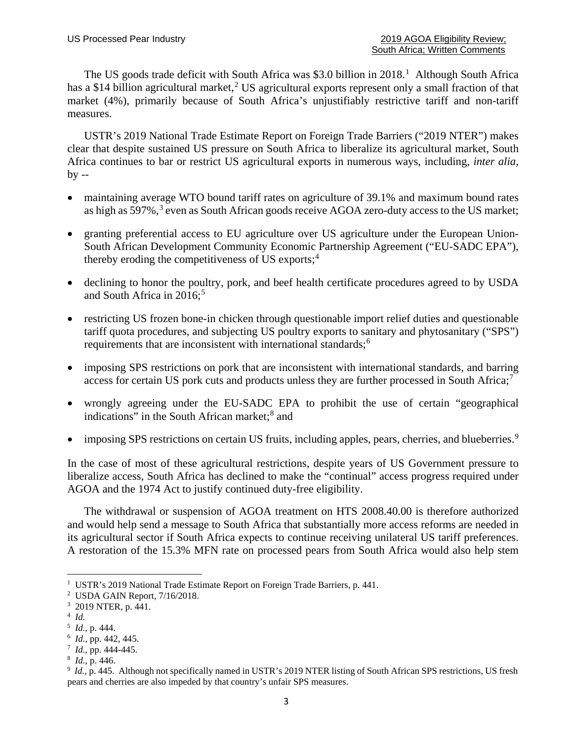The US goods trade deficit with South Africa was \$3.0 billion in  $2018<sup>1</sup>$  $2018<sup>1</sup>$  $2018<sup>1</sup>$  Although South Africa has a \$14 billion agricultural market,<sup>[2](#page-3-1)</sup> US agricultural exports represent only a small fraction of that market (4%), primarily because of South Africa's unjustifiably restrictive tariff and non-tariff measures.

USTR's 2019 National Trade Estimate Report on Foreign Trade Barriers ("2019 NTER") makes clear that despite sustained US pressure on South Africa to liberalize its agricultural market, South Africa continues to bar or restrict US agricultural exports in numerous ways, including, *inter alia*,  $by -$ 

- maintaining average WTO bound tariff rates on agriculture of 39.1% and maximum bound rates as high as 597%,<sup>[3](#page-3-2)</sup> even as South African goods receive AGOA zero-duty access to the US market;
- granting preferential access to EU agriculture over US agriculture under the European Union-South African Development Community Economic Partnership Agreement ("EU-SADC EPA"), thereby eroding the competitiveness of US exports;  $4$
- declining to honor the poultry, pork, and beef health certificate procedures agreed to by USDA and South Africa in  $2016$ ;<sup>[5](#page-3-4)</sup>
- restricting US frozen bone-in chicken through questionable import relief duties and questionable tariff quota procedures, and subjecting US poultry exports to sanitary and phytosanitary ("SPS") requirements that are inconsistent with international standards;<sup>[6](#page-3-5)</sup>
- imposing SPS restrictions on pork that are inconsistent with international standards, and barring access for certain US pork cuts and products unless they are further processed in South Africa;<sup>[7](#page-3-6)</sup>
- wrongly agreeing under the EU-SADC EPA to prohibit the use of certain "geographical indications" in the South African market:<sup>[8](#page-3-7)</sup> and
- imposing SPS restrictions on certain US fruits, including apples, pears, cherries, and blueberries.<sup>[9](#page-3-8)</sup>

In the case of most of these agricultural restrictions, despite years of US Government pressure to liberalize access, South Africa has declined to make the "continual" access progress required under AGOA and the 1974 Act to justify continued duty-free eligibility.

The withdrawal or suspension of AGOA treatment on HTS 2008.40.00 is therefore authorized and would help send a message to South Africa that substantially more access reforms are needed in its agricultural sector if South Africa expects to continue receiving unilateral US tariff preferences. A restoration of the 15.3% MFN rate on processed pears from South Africa would also help stem

<span id="page-3-4"></span>5 *Id.,* p. 444.

<span id="page-3-7"></span>8 *Id.,* p. 446.

<span id="page-3-0"></span> $\frac{1}{1}$ <sup>1</sup> USTR's 2019 National Trade Estimate Report on Foreign Trade Barriers, p. 441.

<span id="page-3-1"></span><sup>2</sup> USDA GAIN Report, 7/16/2018.

<span id="page-3-2"></span><sup>&</sup>lt;sup>3</sup> 2019 NTER, p. 441.

<span id="page-3-3"></span><sup>4</sup> *Id.*

<span id="page-3-5"></span><sup>6</sup> *Id.,* pp. 442, 445.

<span id="page-3-6"></span><sup>7</sup> *Id.,* pp. 444-445.

<span id="page-3-8"></span><sup>&</sup>lt;sup>9</sup> *Id.*, p. 445. Although not specifically named in USTR's 2019 NTER listing of South African SPS restrictions, US fresh pears and cherries are also impeded by that country's unfair SPS measures.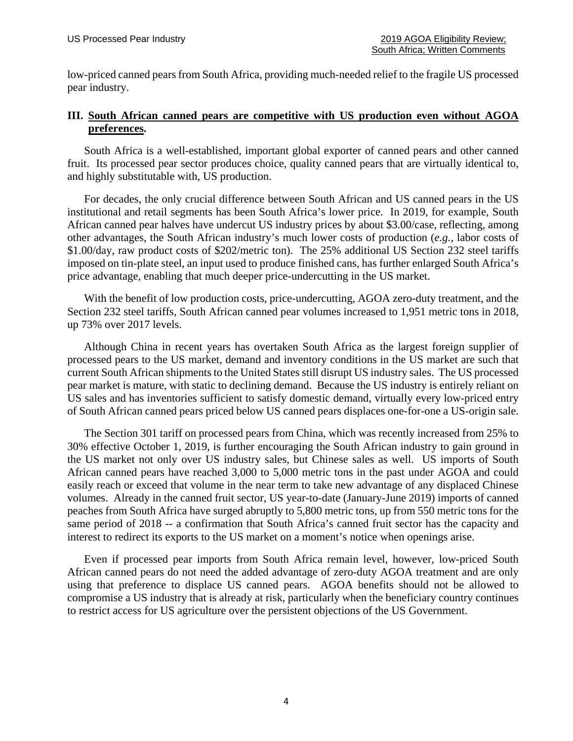low-priced canned pears from South Africa, providing much-needed relief to the fragile US processed pear industry.

# **III. South African canned pears are competitive with US production even without AGOA preferences.**

South Africa is a well-established, important global exporter of canned pears and other canned fruit. Its processed pear sector produces choice, quality canned pears that are virtually identical to, and highly substitutable with, US production.

For decades, the only crucial difference between South African and US canned pears in the US institutional and retail segments has been South Africa's lower price. In 2019, for example, South African canned pear halves have undercut US industry prices by about \$3.00/case, reflecting, among other advantages, the South African industry's much lower costs of production (*e.g.,* labor costs of \$1.00/day, raw product costs of \$202/metric ton). The 25% additional US Section 232 steel tariffs imposed on tin-plate steel, an input used to produce finished cans, has further enlarged South Africa's price advantage, enabling that much deeper price-undercutting in the US market.

With the benefit of low production costs, price-undercutting, AGOA zero-duty treatment, and the Section 232 steel tariffs, South African canned pear volumes increased to 1,951 metric tons in 2018, up 73% over 2017 levels.

Although China in recent years has overtaken South Africa as the largest foreign supplier of processed pears to the US market, demand and inventory conditions in the US market are such that current South African shipments to the United States still disrupt US industry sales. The US processed pear market is mature, with static to declining demand. Because the US industry is entirely reliant on US sales and has inventories sufficient to satisfy domestic demand, virtually every low-priced entry of South African canned pears priced below US canned pears displaces one-for-one a US-origin sale.

The Section 301 tariff on processed pears from China, which was recently increased from 25% to 30% effective October 1, 2019, is further encouraging the South African industry to gain ground in the US market not only over US industry sales, but Chinese sales as well. US imports of South African canned pears have reached 3,000 to 5,000 metric tons in the past under AGOA and could easily reach or exceed that volume in the near term to take new advantage of any displaced Chinese volumes. Already in the canned fruit sector, US year-to-date (January-June 2019) imports of canned peaches from South Africa have surged abruptly to 5,800 metric tons, up from 550 metric tons for the same period of 2018 -- a confirmation that South Africa's canned fruit sector has the capacity and interest to redirect its exports to the US market on a moment's notice when openings arise.

Even if processed pear imports from South Africa remain level, however, low-priced South African canned pears do not need the added advantage of zero-duty AGOA treatment and are only using that preference to displace US canned pears. AGOA benefits should not be allowed to compromise a US industry that is already at risk, particularly when the beneficiary country continues to restrict access for US agriculture over the persistent objections of the US Government.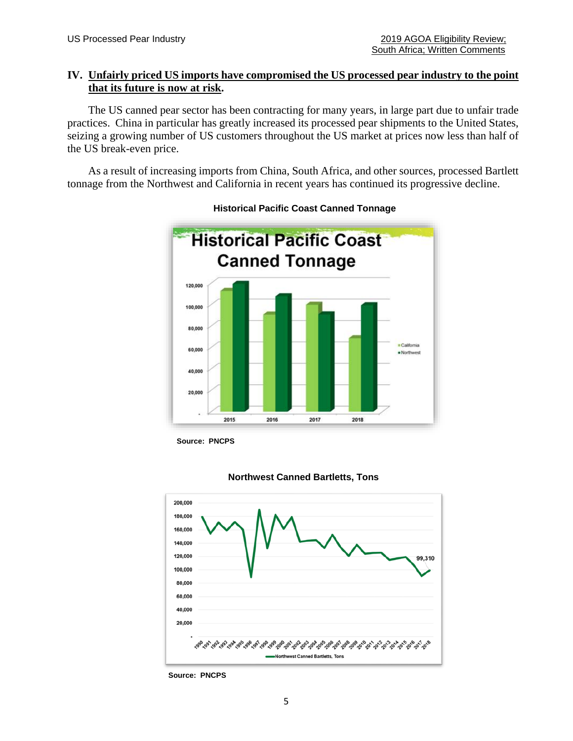# **IV. Unfairly priced US imports have compromised the US processed pear industry to the point that its future is now at risk.**

The US canned pear sector has been contracting for many years, in large part due to unfair trade practices. China in particular has greatly increased its processed pear shipments to the United States, seizing a growing number of US customers throughout the US market at prices now less than half of the US break-even price.

As a result of increasing imports from China, South Africa, and other sources, processed Bartlett tonnage from the Northwest and California in recent years has continued its progressive decline.





 **Source: PNCPS**





**Source: PNCPS**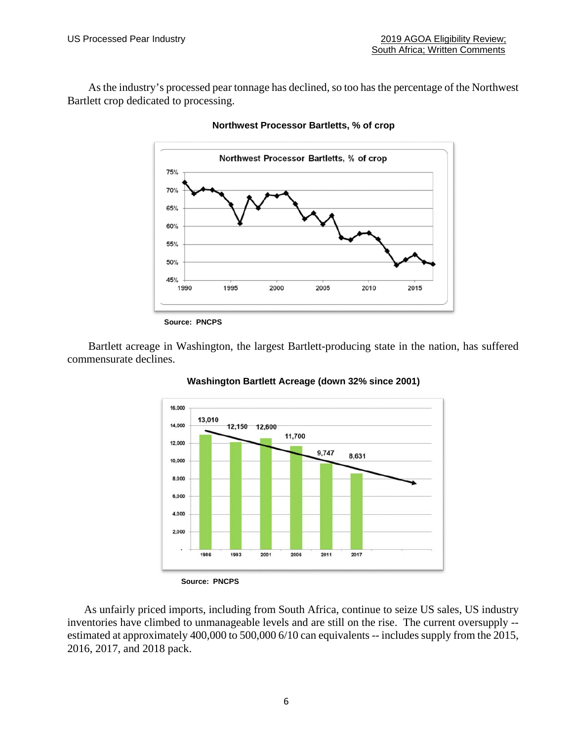As the industry's processed pear tonnage has declined, so too has the percentage of the Northwest Bartlett crop dedicated to processing.



#### **Northwest Processor Bartletts, % of crop**

**Source: PNCPS**

Bartlett acreage in Washington, the largest Bartlett-producing state in the nation, has suffered commensurate declines.



#### **Washington Bartlett Acreage (down 32% since 2001)**

**Source: PNCPS**

As unfairly priced imports, including from South Africa, continue to seize US sales, US industry inventories have climbed to unmanageable levels and are still on the rise. The current oversupply - estimated at approximately 400,000 to 500,000 6/10 can equivalents -- includes supply from the 2015, 2016, 2017, and 2018 pack.